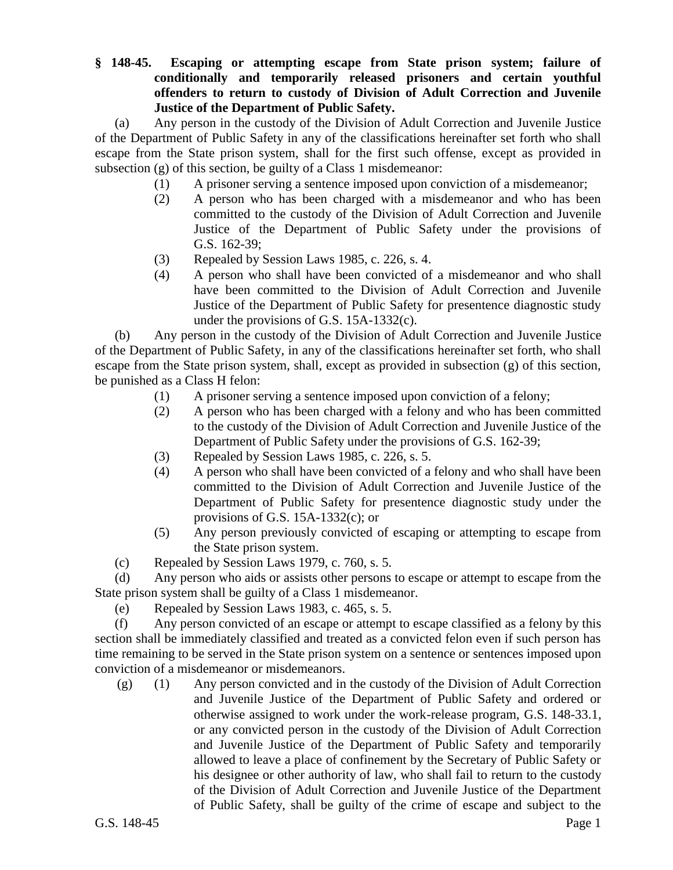## **§ 148-45. Escaping or attempting escape from State prison system; failure of conditionally and temporarily released prisoners and certain youthful offenders to return to custody of Division of Adult Correction and Juvenile Justice of the Department of Public Safety.**

(a) Any person in the custody of the Division of Adult Correction and Juvenile Justice of the Department of Public Safety in any of the classifications hereinafter set forth who shall escape from the State prison system, shall for the first such offense, except as provided in subsection (g) of this section, be guilty of a Class 1 misdemeanor:

- (1) A prisoner serving a sentence imposed upon conviction of a misdemeanor;
- (2) A person who has been charged with a misdemeanor and who has been committed to the custody of the Division of Adult Correction and Juvenile Justice of the Department of Public Safety under the provisions of G.S. 162-39;
- (3) Repealed by Session Laws 1985, c. 226, s. 4.
- (4) A person who shall have been convicted of a misdemeanor and who shall have been committed to the Division of Adult Correction and Juvenile Justice of the Department of Public Safety for presentence diagnostic study under the provisions of G.S. 15A-1332(c).

(b) Any person in the custody of the Division of Adult Correction and Juvenile Justice of the Department of Public Safety, in any of the classifications hereinafter set forth, who shall escape from the State prison system, shall, except as provided in subsection (g) of this section, be punished as a Class H felon:

- (1) A prisoner serving a sentence imposed upon conviction of a felony;
- (2) A person who has been charged with a felony and who has been committed to the custody of the Division of Adult Correction and Juvenile Justice of the Department of Public Safety under the provisions of G.S. 162-39;
- (3) Repealed by Session Laws 1985, c. 226, s. 5.
- (4) A person who shall have been convicted of a felony and who shall have been committed to the Division of Adult Correction and Juvenile Justice of the Department of Public Safety for presentence diagnostic study under the provisions of G.S. 15A-1332(c); or
- (5) Any person previously convicted of escaping or attempting to escape from the State prison system.
- (c) Repealed by Session Laws 1979, c. 760, s. 5.

(d) Any person who aids or assists other persons to escape or attempt to escape from the State prison system shall be guilty of a Class 1 misdemeanor.

(e) Repealed by Session Laws 1983, c. 465, s. 5.

(f) Any person convicted of an escape or attempt to escape classified as a felony by this section shall be immediately classified and treated as a convicted felon even if such person has time remaining to be served in the State prison system on a sentence or sentences imposed upon conviction of a misdemeanor or misdemeanors.

(g) (1) Any person convicted and in the custody of the Division of Adult Correction and Juvenile Justice of the Department of Public Safety and ordered or otherwise assigned to work under the work-release program, G.S. 148-33.1, or any convicted person in the custody of the Division of Adult Correction and Juvenile Justice of the Department of Public Safety and temporarily allowed to leave a place of confinement by the Secretary of Public Safety or his designee or other authority of law, who shall fail to return to the custody of the Division of Adult Correction and Juvenile Justice of the Department of Public Safety, shall be guilty of the crime of escape and subject to the